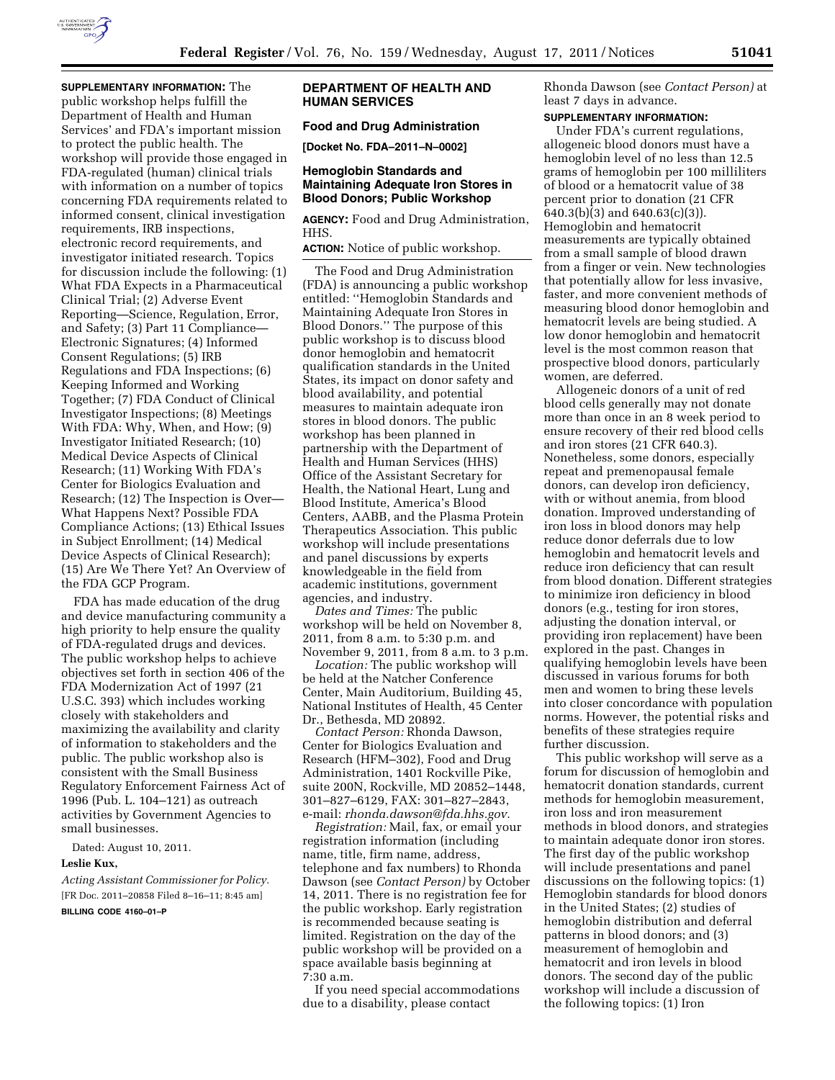

**SUPPLEMENTARY INFORMATION:** The public workshop helps fulfill the Department of Health and Human Services' and FDA's important mission to protect the public health. The workshop will provide those engaged in FDA-regulated (human) clinical trials with information on a number of topics concerning FDA requirements related to informed consent, clinical investigation requirements, IRB inspections, electronic record requirements, and investigator initiated research. Topics for discussion include the following: (1) What FDA Expects in a Pharmaceutical Clinical Trial; (2) Adverse Event Reporting—Science, Regulation, Error, and Safety; (3) Part 11 Compliance— Electronic Signatures; (4) Informed Consent Regulations; (5) IRB Regulations and FDA Inspections; (6) Keeping Informed and Working Together; (7) FDA Conduct of Clinical Investigator Inspections; (8) Meetings With FDA: Why, When, and How; (9) Investigator Initiated Research; (10) Medical Device Aspects of Clinical Research; (11) Working With FDA's Center for Biologics Evaluation and Research; (12) The Inspection is Over— What Happens Next? Possible FDA Compliance Actions; (13) Ethical Issues in Subject Enrollment; (14) Medical Device Aspects of Clinical Research); (15) Are We There Yet? An Overview of the FDA GCP Program.

FDA has made education of the drug and device manufacturing community a high priority to help ensure the quality of FDA-regulated drugs and devices. The public workshop helps to achieve objectives set forth in section 406 of the FDA Modernization Act of 1997 (21 U.S.C. 393) which includes working closely with stakeholders and maximizing the availability and clarity of information to stakeholders and the public. The public workshop also is consistent with the Small Business Regulatory Enforcement Fairness Act of 1996 (Pub. L. 104–121) as outreach activities by Government Agencies to small businesses.

Dated: August 10, 2011.

#### **Leslie Kux,**

*Acting Assistant Commissioner for Policy.*  [FR Doc. 2011–20858 Filed 8–16–11; 8:45 am] **BILLING CODE 4160–01–P** 

#### **DEPARTMENT OF HEALTH AND HUMAN SERVICES**

# **Food and Drug Administration**

**[Docket No. FDA–2011–N–0002]** 

#### **Hemoglobin Standards and Maintaining Adequate Iron Stores in Blood Donors; Public Workshop**

**AGENCY:** Food and Drug Administration, HHS.

**ACTION:** Notice of public workshop.

The Food and Drug Administration (FDA) is announcing a public workshop entitled: ''Hemoglobin Standards and Maintaining Adequate Iron Stores in Blood Donors.'' The purpose of this public workshop is to discuss blood donor hemoglobin and hematocrit qualification standards in the United States, its impact on donor safety and blood availability, and potential measures to maintain adequate iron stores in blood donors. The public workshop has been planned in partnership with the Department of Health and Human Services (HHS) Office of the Assistant Secretary for Health, the National Heart, Lung and Blood Institute, America's Blood Centers, AABB, and the Plasma Protein Therapeutics Association. This public workshop will include presentations and panel discussions by experts knowledgeable in the field from academic institutions, government agencies, and industry.

*Dates and Times:* The public workshop will be held on November 8, 2011, from 8 a.m. to 5:30 p.m. and November 9, 2011, from 8 a.m. to 3 p.m.

*Location:* The public workshop will be held at the Natcher Conference Center, Main Auditorium, Building 45, National Institutes of Health, 45 Center Dr., Bethesda, MD 20892.

*Contact Person:* Rhonda Dawson, Center for Biologics Evaluation and Research (HFM–302), Food and Drug Administration, 1401 Rockville Pike, suite 200N, Rockville, MD 20852–1448, 301–827–6129, FAX: 301–827–2843, e-mail: *[rhonda.dawson@fda.hhs.gov.](mailto:rhonda.dawson@fda.hhs.gov)* 

*Registration:* Mail, fax, or email your registration information (including name, title, firm name, address, telephone and fax numbers) to Rhonda Dawson (see *Contact Person)* by October 14, 2011. There is no registration fee for the public workshop. Early registration is recommended because seating is limited. Registration on the day of the public workshop will be provided on a space available basis beginning at 7:30 a.m.

If you need special accommodations due to a disability, please contact

Rhonda Dawson (see *Contact Person)* at least 7 days in advance.

# **SUPPLEMENTARY INFORMATION:**

Under FDA's current regulations, allogeneic blood donors must have a hemoglobin level of no less than 12.5 grams of hemoglobin per 100 milliliters of blood or a hematocrit value of 38 percent prior to donation (21 CFR 640.3(b)(3) and 640.63(c)(3)). Hemoglobin and hematocrit measurements are typically obtained from a small sample of blood drawn from a finger or vein. New technologies that potentially allow for less invasive, faster, and more convenient methods of measuring blood donor hemoglobin and hematocrit levels are being studied. A low donor hemoglobin and hematocrit level is the most common reason that prospective blood donors, particularly women, are deferred.

Allogeneic donors of a unit of red blood cells generally may not donate more than once in an 8 week period to ensure recovery of their red blood cells and iron stores (21 CFR 640.3). Nonetheless, some donors, especially repeat and premenopausal female donors, can develop iron deficiency, with or without anemia, from blood donation. Improved understanding of iron loss in blood donors may help reduce donor deferrals due to low hemoglobin and hematocrit levels and reduce iron deficiency that can result from blood donation. Different strategies to minimize iron deficiency in blood donors (e.g., testing for iron stores, adjusting the donation interval, or providing iron replacement) have been explored in the past. Changes in qualifying hemoglobin levels have been discussed in various forums for both men and women to bring these levels into closer concordance with population norms. However, the potential risks and benefits of these strategies require further discussion.

This public workshop will serve as a forum for discussion of hemoglobin and hematocrit donation standards, current methods for hemoglobin measurement, iron loss and iron measurement methods in blood donors, and strategies to maintain adequate donor iron stores. The first day of the public workshop will include presentations and panel discussions on the following topics: (1) Hemoglobin standards for blood donors in the United States; (2) studies of hemoglobin distribution and deferral patterns in blood donors; and (3) measurement of hemoglobin and hematocrit and iron levels in blood donors. The second day of the public workshop will include a discussion of the following topics: (1) Iron